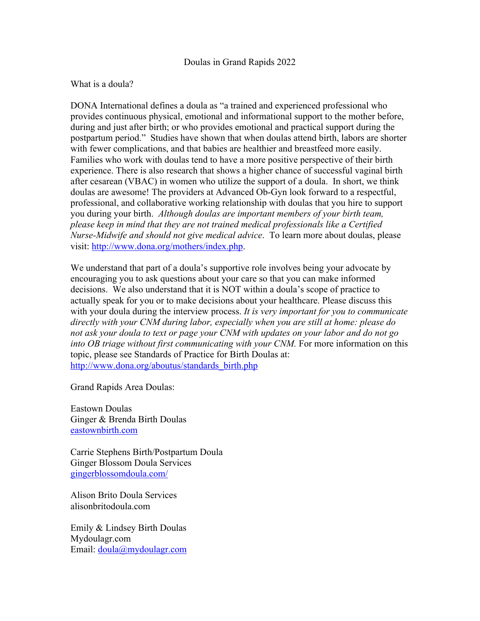## Doulas in Grand Rapids 2022

## What is a doula?

DONA International defines a doula as "a trained and experienced professional who provides continuous physical, emotional and informational support to the mother before, during and just after birth; or who provides emotional and practical support during the postpartum period." Studies have shown that when doulas attend birth, labors are shorter with fewer complications, and that babies are healthier and breastfeed more easily. Families who work with doulas tend to have a more positive perspective of their birth experience. There is also research that shows a higher chance of successful vaginal birth after cesarean (VBAC) in women who utilize the support of a doula. In short, we think doulas are awesome! The providers at Advanced Ob-Gyn look forward to a respectful, professional, and collaborative working relationship with doulas that you hire to support you during your birth. *Although doulas are important members of your birth team, please keep in mind that they are not trained medical professionals like a Certified Nurse-Midwife and should not give medical advice*. To learn more about doulas, please visit: http://www.dona.org/mothers/index.php.

We understand that part of a doula's supportive role involves being your advocate by encouraging you to ask questions about your care so that you can make informed decisions. We also understand that it is NOT within a doula's scope of practice to actually speak for you or to make decisions about your healthcare. Please discuss this with your doula during the interview process. *It is very important for you to communicate directly with your CNM during labor, especially when you are still at home: please do not ask your doula to text or page your CNM with updates on your labor and do not go into OB triage without first communicating with your CNM.* For more information on this topic, please see Standards of Practice for Birth Doulas at: http://www.dona.org/aboutus/standards\_birth.php

Grand Rapids Area Doulas:

Eastown Doulas Ginger & Brenda Birth Doulas eastownbirth.com

Carrie Stephens Birth/Postpartum Doula Ginger Blossom Doula Services gingerblossomdoula.com/

Alison Brito Doula Services alisonbritodoula.com

Emily & Lindsey Birth Doulas Mydoulagr.com Email: doula@mydoulagr.com